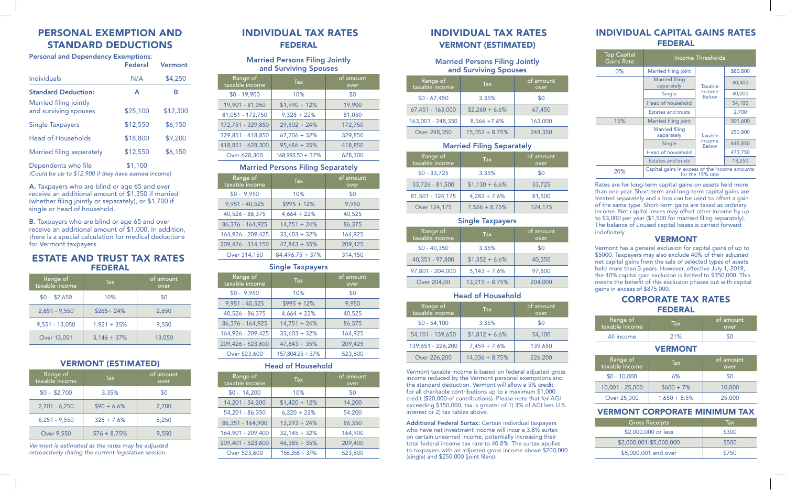# PERSONAL EXEMPTION AND STANDARD DEDUCTIONS

| <b>Personal and Dependency Exemptions:</b>      | Vermont  |          |
|-------------------------------------------------|----------|----------|
| Individuals                                     | N/A      | \$4,250  |
| <b>Standard Deduction:</b>                      | A        | В        |
| Married filing jointly<br>and surviving spouses | \$25,100 | \$12,300 |
| <b>Single Taxpayers</b>                         | \$12,550 | \$6,150  |
| Head of Households                              | \$18,800 | \$9,200  |
| Married filing separately                       | \$12,550 | \$6,150  |
| Dependents who file                             | \$1,100  |          |

*(Could be up to \$12,900 if they have earned income)*

A. Taxpayers who are blind or age 65 and over receive an additional amount of \$1,350 if married (whether filing jointly or separately), or \$1,700 if single or head of household.

**B.** Taxpayers who are blind or age 65 and over receive an additional amount of \$1,000. In addition, there is a special calculation for medical deductions for Vermont taxpayers.

## ESTATE AND TRUST TAX RATES FEDERAL

| Range of<br>taxable income | $\mathsf{Tax}$ | of amount<br>over |
|----------------------------|----------------|-------------------|
| $$0 - $2,650$              | 10%            | \$0               |
| $2,651 - 9,550$            | $$265+24%$     | 2,650             |
| 9,551 - 13,050             | $1,921 + 35%$  | 9,550             |
| Over 13,051                | $3,146 + 37%$  | 13,050            |

# VERMONT (ESTIMATED)

| Range of<br>taxable income | <b>Tax</b>    | of amount<br>over |
|----------------------------|---------------|-------------------|
| $$0 - $2,700$              | 3.35%         | \$0               |
| $2,701 - 6,250$            | $$90 + 6.6\%$ | 2.700             |
| $6,251 - 9,550$            | $325 + 7.6%$  | 6.250             |
| Over 9,550                 | $576 + 8.75%$ | 9.550             |

*Vermont is estimated as the rates may be adjusted retroactively during the current legislative session.*

# INDIVIDUAL TAX RATES FEDERAL

#### Married Persons Filing Jointly and Surviving Spouses

| Range of<br>taxable income | Tax.             | of amount<br>over |
|----------------------------|------------------|-------------------|
| $$0 - 19,900$              | 10%              | \$0               |
| 19,901 - 81,050            | $$1,990 + 12\%$  | 19,900            |
| 81,051 - 172,750           | $9,328 + 22%$    | 81,050            |
| 172,751 - 329,850          | $29.502 + 24%$   | 172,750           |
| 329,851 - 418,850          | $67,206 + 32%$   | 329.850           |
| 418,851 - 628,300          | $95,686 + 35%$   | 418,850           |
| Over 628,300               | 168,993.50 + 37% | 628.300           |

#### Married Persons Filing Separately

| Range of<br>taxable income | <b>Tax</b>        | of amount<br>over |
|----------------------------|-------------------|-------------------|
| $$0 - 9,950$               | 10%               | \$0               |
| $9,951 - 40,525$           | $$995 + 12\%$     | 9.950             |
| 40,526 - 86,375            | $4,664 + 22%$     | 40,525            |
| 86,376 - 164,925           | $14,751 + 24\%$   | 86,375            |
| 164,926 - 209,425          | $33,603 + 32%$    | 164.925           |
| 209,426 - 314,150          | $47.843 + 35%$    | 209.425           |
| Over 314,150               | $84.496.75 + 37%$ | 314,150           |

#### Single Taxpayers

| Range of<br>taxable income | <b>Tax</b>         | of amount<br>over |
|----------------------------|--------------------|-------------------|
| $$0 - 9,950$               | 10%                | \$0               |
| 9,951 - 40,525             | $$995 + 12\%$      | 9.950             |
| 40,526 - 86,375            | $4,664 + 22%$      | 40,525            |
| 86,376 - 164,925           | $14,751 + 24\%$    | 86,375            |
| 164,926 - 209,425          | $33.603 + 32%$     | 164,925           |
| 209,426 - 523,600          | $47,843 + 35%$     | 209,425           |
| Over 523,600               | $157.804.25 + 37%$ | 523,600           |

## Head of Household

| Range of<br>taxable income | <b>Tax</b>      | of amount<br>over |  |
|----------------------------|-----------------|-------------------|--|
| $$0 - 14,200$              | 10%             | \$0               |  |
| 14,201 - 54,200            | $$1,420 + 12\%$ | 14,200            |  |
| 54,201 - 86,350            | $6,220 + 22%$   | 54,200            |  |
| 86,351 - 164,900           | $13,293 + 24\%$ | 86,350            |  |
| 164,901 - 209,400          | $32,145 + 32%$  | 164,900           |  |
| 209,401 - 523,600          | $46,385 + 35%$  | 209,400           |  |
| Over 523,600               | $156,355 + 37%$ | 523,600           |  |

# INDIVIDUAL TAX RATES VERMONT (ESTIMATED)

#### Married Persons Filing Jointly and Surviving Spouses

| Range of<br>taxable income | <b>Tax</b>       | of amount<br>over |
|----------------------------|------------------|-------------------|
| $$0 - 67,450$              | 3.35%            | \$0               |
| 67,451 - 163,000           | $$2,260 + 6.6\%$ | 67,450            |
| 163,001 - 248,350          | $8,566 + 7.6%$   | 163,000           |
| Over 248,350               | $15,052 + 8.75%$ | 248,350           |

## Married Filing Separately

| Range of<br>taxable income | <b>Tax</b>       | of amount<br>over |
|----------------------------|------------------|-------------------|
| $$0 - 33,725$              | 3.35%            | \$0               |
| 33,726 - 81,500            | $$1,130 + 6.6\%$ | 33,725            |
| 81,501 - 124,175           | $4,283 + 7.6%$   | 81,500            |
| Over 124,175               | $7,526 + 8.75%$  | 124,175           |

#### Single Taxpayers

| Range of<br>taxable income | <b>Tax</b>       | of amount<br>over |
|----------------------------|------------------|-------------------|
| $$0 - 40,350$              | 3.35%            | \$0               |
| 40,351 - 97,800            | $$1,352 + 6.6\%$ | 40,350            |
| 97,801 - 204,000           | $5,143 + 7.6%$   | 97,800            |
| Over 204,00                | $13,215 + 8.75%$ | 204,000           |

#### Head of Household

| Range of<br>taxable income | <b>Tax</b>       | of amount<br>over |
|----------------------------|------------------|-------------------|
| $$0 - 54,100$              | 3.35%            | \$0               |
| 54,101 - 139,650           | $$1,812 + 6.6\%$ | 54,100            |
| 139,651 - 226,200          | $7,459 + 7.6%$   | 139.650           |
| Over 226,200               | $14,036 + 8.75%$ | 226,200           |

Vermont taxable income is based on federal adjusted gross income reduced by the Vermont personal exemptions and the standard deduction. Vermont will allow a 5% credit for all charitable contributions up to a maximum \$1,000 credit (\$20,000 of contributions). Please note that for AGI exceeding \$150,000, tax is greater of 1) 3% of AGI less U.S. interest or 2) tax tables above.

Additional Federal Surtax: Certain individual taxpayers who have net investment income will incur a 3.8% surtax on certain unearned income, potentially increasing their total federal income tax rate to 40.8%. The surtax applies to taxpayers with an adjusted gross income above \$200,000 (single) and \$250,000 (joint filers).

## INDIVIDUAL CAPITAL GAINS RATES FEDERAL

| <b>Top Capital</b><br><b>Gains Rate</b> | Income Thresholds                             |                                   |          |
|-----------------------------------------|-----------------------------------------------|-----------------------------------|----------|
| $0\%$                                   | Married filing joint                          |                                   | \$80,800 |
|                                         | <b>Married filing</b><br>separately           | Taxable                           | 40,400   |
|                                         | Single                                        | Income<br><b>Below</b>            | 40,000   |
|                                         | Head of household                             |                                   | 54,100   |
|                                         | <b>Estates and trusts</b>                     |                                   | 2,700    |
| 15%                                     | Married filing joint                          |                                   | 501,600  |
|                                         | <b>Married filing</b><br>separately           | Taxable<br>Income<br><b>Below</b> | 250,800  |
|                                         | Single                                        |                                   | 445,850  |
|                                         | Head of household                             |                                   | 473,750  |
|                                         | <b>Estates and trusts</b>                     |                                   | 13,250   |
| 20%                                     | Capital gains in excess of the income amounts | for the 15% rate                  |          |

Π

Rates are for long-term capital gains on assets held more than one year. Short-term and long-term capital gains are treated separately and a loss can be used to offset a gain of the same type. Short-term gains are taxed as ordinary income. Net capital losses may offset other income by up to \$3,000 per year (\$1,500 for married filing separately). The balance of unused capital losses is carried forward indefinitely.

## VERMONT

Vermont has a general exclusion for capital gains of up to \$5000. Taxpayers may also exclude 40% of their adjusted net capital gains from the sale of selected types of assets held more than 3 years. However, effective July 1, 2019, the 40% capital gain exclusion is limited to \$350,000. This means the benefit of this exclusion phases out with capital gains in excess of \$875,000.

## CORPORATE TAX RATES FEDERAL

| Range of<br>taxable income | Tax | of amount<br>over |
|----------------------------|-----|-------------------|
| All income                 | 21% |                   |

## VERMONT

| Range of<br>taxable income | <b>Tax</b>      | of amount<br>over |  |
|----------------------------|-----------------|-------------------|--|
| $$0 - 10,000$              | 6%              | \$0               |  |
| 10,001 - 25,000            | $$600 + 7\%$    | 10,000            |  |
| Over 25,000                | $1,650 + 8.5\%$ | 25,000            |  |

## VERMONT CORPORATE MINIMUM TAX

| <b>Gross Receipts</b>   | Tax   |
|-------------------------|-------|
| \$2,000,000 or less     | \$300 |
| \$2,000,001-\$5,000,000 | \$500 |
| \$5,000,001 and over    | \$750 |